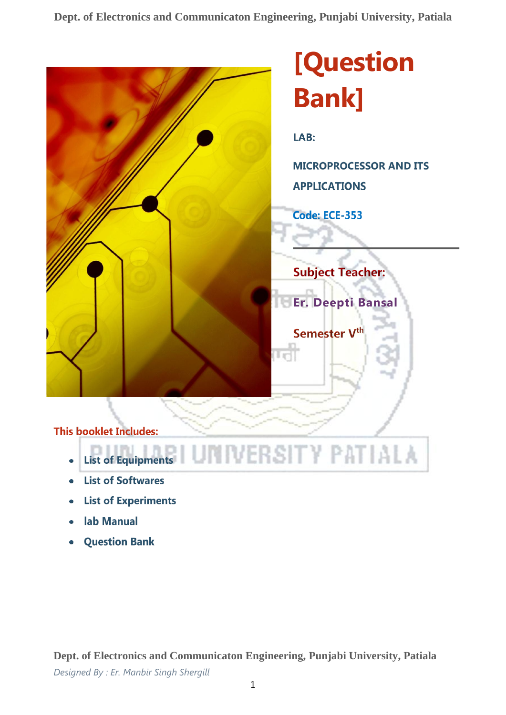**Dept. of Electronics and Communicaton Engineering, Punjabi University, Patiala**



- **List of Softwares**  $\ddot{\phantom{a}}$
- **List of Experiments**
- lab Manual
- **Question Bank**

**Dept. of Electronics and Communicaton Engineering, Punjabi University, Patiala** *Designed By : Er. Manbir Singh Shergill*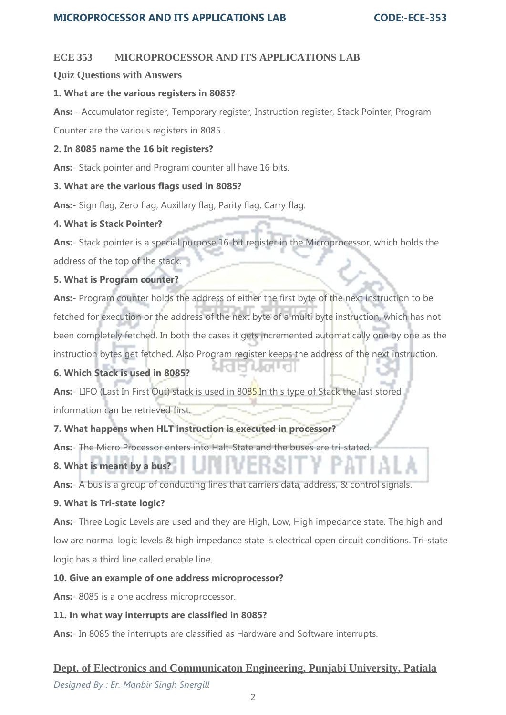## **ECE 353 MICROPROCESSOR AND ITS APPLICATIONS LAB**

### **Quiz Questions with Answers**

### **1. What are the various registers in 8085?**

**Ans:** - Accumulator register, Temporary register, Instruction register, Stack Pointer, Program

Counter are the various registers in 8085 .

### **2. In 8085 name the 16 bit registers?**

**Ans:**- Stack pointer and Program counter all have 16 bits.

### **3. What are the various flags used in 8085?**

**Ans:**- Sign flag, Zero flag, Auxillary flag, Parity flag, Carry flag.

### **4. What is Stack Pointer?**

**Ans:**- Stack pointer is a special purpose 16-bit register in the Microprocessor, which holds the address of the top of the stack.

## **5. What is Program counter?**

**Ans:**- Program counter holds the address of either the first byte of the next instruction to be fetched for execution or the address of the next byte of a multi byte instruction, which has not been completely fetched. In both the cases it gets incremented automatically one by one as the instruction bytes get fetched. Also Program register keeps the address of the next instruction.

## **6. Which Stack is used in 8085?**

**Ans:**- LIFO (Last In First Out) stack is used in 8085.In this type of Stack the last stored information can be retrieved first.

## **7. What happens when HLT instruction is executed in processor?**

**Ans:**- The Micro Processor enters into Halt-State and the buses are tri-stated.

# **8. What is meant by a bus?**

**Ans:**- A bus is a group of conducting lines that carriers data, address, & control signals.

## **9. What is Tri-state logic?**

**Ans:**- Three Logic Levels are used and they are High, Low, High impedance state. The high and low are normal logic levels & high impedance state is electrical open circuit conditions. Tri-state logic has a third line called enable line.

## **10. Give an example of one address microprocessor?**

**Ans:**- 8085 is a one address microprocessor.

## **11. In what way interrupts are classified in 8085?**

**Ans:**- In 8085 the interrupts are classified as Hardware and Software interrupts.

# **Dept. of Electronics and Communicaton Engineering, Punjabi University, Patiala**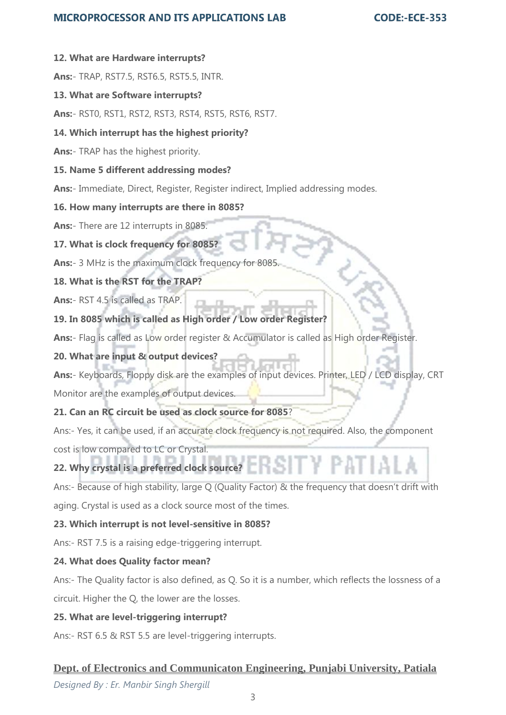## **MICROPROCESSOR AND ITS APPLICATIONS LAB**

#### **CODE:-ECE-353**

#### **12. What are Hardware interrupts?**

**Ans:**- TRAP, RST7.5, RST6.5, RST5.5, INTR.

#### **13. What are Software interrupts?**

**Ans:**- RST0, RST1, RST2, RST3, RST4, RST5, RST6, RST7.

#### **14. Which interrupt has the highest priority?**

**Ans:**- TRAP has the highest priority.

#### **15. Name 5 different addressing modes?**

**Ans:**- Immediate, Direct, Register, Register indirect, Implied addressing modes.

#### **16. How many interrupts are there in 8085?**

**Ans:**- There are 12 interrupts in 8085.

#### **17. What is clock frequency for 8085?**

**Ans:**- 3 MHz is the maximum clock frequency for 8085.

**18. What is the RST for the TRAP?**

**Ans:**- RST 4.5 is called as TRAP.

## **19. In 8085 which is called as High order / Low order Register?**

**Ans:**- Flag is called as Low order register & Accumulator is called as High order Register.

## **20. What are input & output devices?**

**Ans:**- Keyboards, Floppy disk are the examples of input devices. Printer, LED / LCD display, CRT Monitor are the examples of output devices.

### **21. Can an RC circuit be used as clock source for 8085**?

Ans:- Yes, it can be used, if an accurate clock frequency is not required. Also, the component cost is low compared to LC or Crystal.

# **22. Why crystal is a preferred clock source?**

Ans:- Because of high stability, large Q (Quality Factor) & the frequency that doesn't drift with aging. Crystal is used as a clock source most of the times.

#### **23. Which interrupt is not level-sensitive in 8085?**

Ans:- RST 7.5 is a raising edge-triggering interrupt.

#### **24. What does Quality factor mean?**

Ans:- The Quality factor is also defined, as Q. So it is a number, which reflects the lossness of a circuit. Higher the Q, the lower are the losses.

#### **25. What are level-triggering interrupt?**

Ans:- RST 6.5 & RST 5.5 are level-triggering interrupts.

## **Dept. of Electronics and Communicaton Engineering, Punjabi University, Patiala**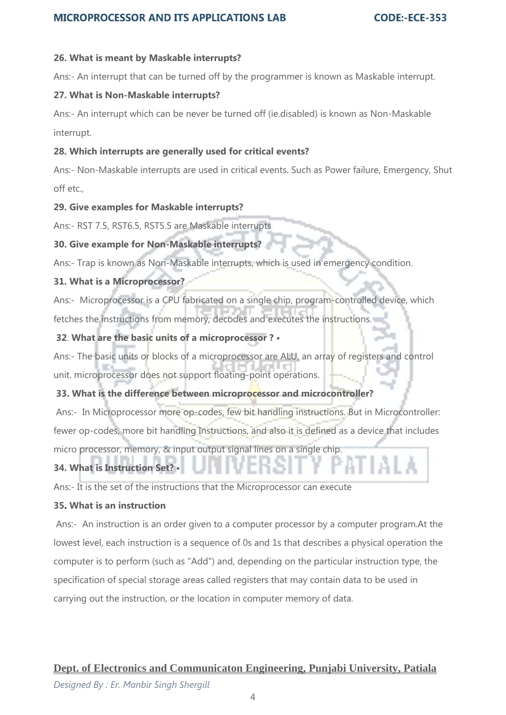# **MICROPROCESSOR AND ITS APPLICATIONS LAB**

### **26. What is meant by Maskable interrupts?**

Ans:- An interrupt that can be turned off by the programmer is known as Maskable interrupt.

### **27. What is Non-Maskable interrupts?**

Ans:- An interrupt which can be never be turned off (ie.disabled) is known as Non-Maskable interrupt.

### **28. Which interrupts are generally used for critical events?**

Ans:- Non-Maskable interrupts are used in critical events. Such as Power failure, Emergency, Shut off etc.,

### **29. Give examples for Maskable interrupts?**

Ans:- RST 7.5, RST6.5, RST5.5 are Maskable interrupts

## **30. Give example for Non-Maskable interrupts?**

Ans:- Trap is known as Non-Maskable interrupts, which is used in emergency condition.

## **31. What is a Microprocessor?**

Ans:- Microprocessor is a CPU fabricated on a single chip, program-controlled device, which fetches the instructions from memory, decodes and executes the instructions.

## **32**. **What are the basic units of a microprocessor ? •**

Ans:- The basic units or blocks of a microprocessor are ALU, an array of registers and control unit. microprocessor does not support floating-point operations.

## **33. What is the difference between microprocessor and microcontroller?**

Ans:- In Microprocessor more op-codes, few bit handling instructions. But in Microcontroller: fewer op-codes, more bit handling Instructions, and also it is defined as a device that includes

micro processor, memory, & input output signal lines on a single chip.

# **34. What is Instruction Set? •**

Ans:- It is the set of the instructions that the Microprocessor can execute

## **35. What is an instruction**

Ans:- An instruction is an order given to a computer processor by a computer program.At the lowest level, each instruction is a sequence of 0s and 1s that describes a physical operation the computer is to perform (such as "Add") and, depending on the particular instruction type, the specification of special storage areas called registers that may contain data to be used in carrying out the instruction, or the location in computer memory of data.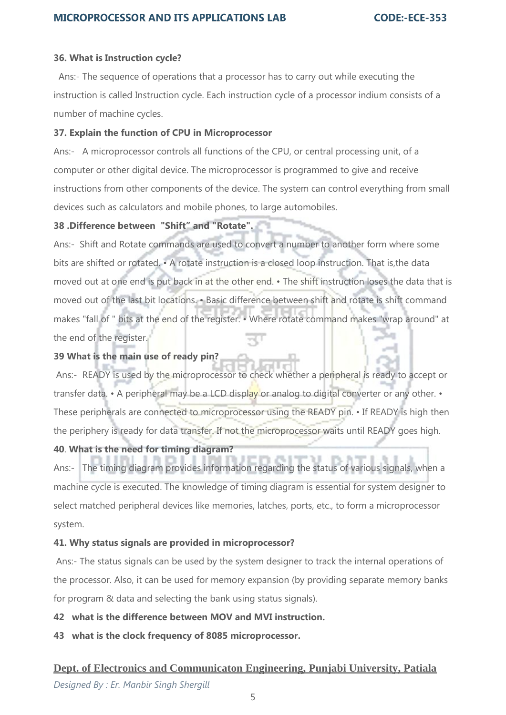### **36. What is Instruction cycle?**

Ans:- The sequence of operations that a processor has to carry out while executing the instruction is called Instruction cycle. Each instruction cycle of a processor indium consists of a number of machine cycles.

### **37. Explain the function of CPU in Microprocessor**

Ans:- A microprocessor controls all functions of the CPU, or central processing unit, of a computer or other digital device. The microprocessor is programmed to give and receive instructions from other components of the device. The system can control everything from small devices such as calculators and mobile phones, to large automobiles.

### **38 .Difference between "Shift" and "Rotate".**

Ans:- Shift and Rotate commands are used to convert a number to another form where some bits are shifted or rotated. • A rotate instruction is a closed loop instruction. That is,the data moved out at one end is put back in at the other end. • The shift instruction loses the data that is moved out of the last bit locations. • Basic difference between shift and rotate is shift command makes "fall of " bits at the end of the register. • Where rotate command makes "wrap around" at the end of the register.

## **39 What is the main use of ready pin?**

Ans:- READY is used by the microprocessor to check whether a peripheral is ready to accept or transfer data. • A peripheral may be a LCD display or analog to digital converter or any other. • These peripherals are connected to microprocessor using the READY pin. • If READY is high then the periphery is ready for data transfer. If not the microprocessor waits until READY goes high.

## **40**. **What is the need for timing diagram?**

Ans:- The timing diagram provides information regarding the status of various signals, when a machine cycle is executed. The knowledge of timing diagram is essential for system designer to select matched peripheral devices like memories, latches, ports, etc., to form a microprocessor system.

## **41. Why status signals are provided in microprocessor?**

Ans:- The status signals can be used by the system designer to track the internal operations of the processor. Also, it can be used for memory expansion (by providing separate memory banks for program & data and selecting the bank using status signals).

**42 what is the difference between MOV and MVI instruction.**

**43 what is the clock frequency of 8085 microprocessor.**

# **Dept. of Electronics and Communicaton Engineering, Punjabi University, Patiala**